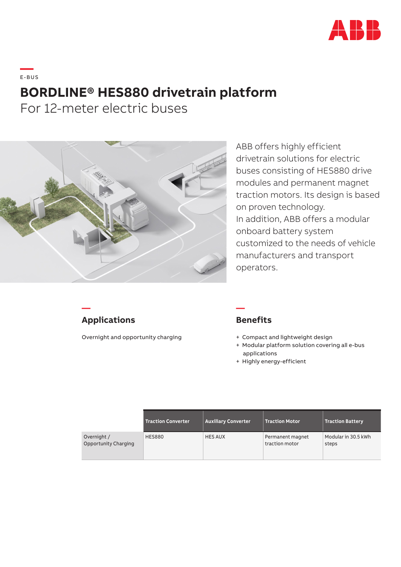

## **—**  E-BUS **BORDLINE® HES880 drivetrain platform**

For 12-meter electric buses



ABB offers highly efficient drivetrain solutions for electric buses consisting of HES880 drive modules and permanent magnet traction motors. Its design is based on proven technology. In addition, ABB offers a modular onboard battery system customized to the needs of vehicle manufacturers and transport operators.

## **Applications**

**—**

Overnight and opportunity charging

## **Benefits**

**—**

- + Compact and lightweight design
- + Modular platform solution covering all e-bus applications
- + Highly energy-efficient

|                                            | <b>Traction Converter</b> | <b>Auxiliary Converter</b> | <b>Traction Motor</b>              | <b>Traction Battery</b>      |
|--------------------------------------------|---------------------------|----------------------------|------------------------------------|------------------------------|
| Overnight /<br><b>Opportunity Charging</b> | <b>HES880</b>             | <b>HES AUX</b>             | Permanent magnet<br>traction motor | Modular in 30.5 kWh<br>steps |